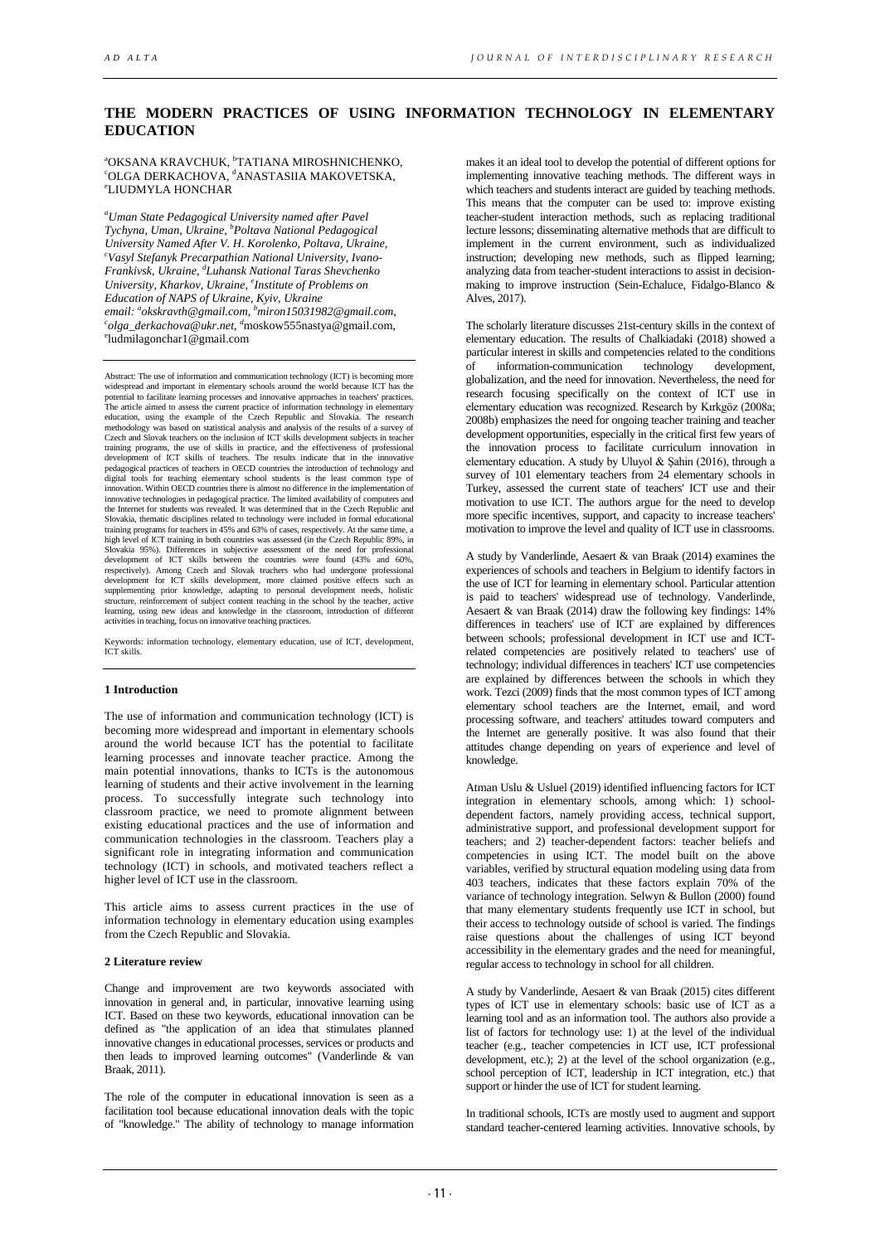# **THE MODERN PRACTICES OF USING INFORMATION TECHNOLOGY IN ELEMENTARY EDUCATION**

<sup>a</sup>OKSANA KRAVCHUK, <sup>b</sup> °OKSANA KRAVCHUK, °TATIANA MIROSHNICHENKO,<br>°OLGA DERKACHOVA, <sup>d</sup>ANASTASIIA MAKOVETSKA,<br>°™ ШЪМУЈА НОМСНАР LIUDMYLA HONCHAR

*a Uman State Pedagogical University named after Pavel Tychyna, Uman, Ukraine, b Poltava National Pedagogical University Named After V. H. Korolenko, Poltava, Ukraine, c Vasyl Stefanyk Precarpathian National University, [Ivano-](http://en.wikipedia.org/wiki/Ivano-Frankivsk)[Frankivsk,](http://en.wikipedia.org/wiki/Ivano-Frankivsk) Ukraine, d Luhansk National Taras Shevchenko University, Kharkov, Ukraine, e Institute of Problems on email: a [okskravth@gmail.com,](mailto:okskravth@gmail.com) b [miron15031982@gmail.com,](mailto:miron15031982@gmail.com) c Education of NAPS of Ukraine, Kyiv, Ukraine [olga\\_derkachova@ukr.net,](mailto:colga_derkachova@ukr.net) d* [moskow555nastya@gmail.com,](mailto:dmoskow555nastya@gmail.com) e ludmilagonchar1@gmail.com

Abstract: The use of information and communication technology (ICT) is becoming more widespread and important in elementary schools around the world because ICT has the potential to facilitate learning processes and innovative approaches in teachers' practices. The article aimed to assess the current practice of information technology in elementary education, using the example of the Czech Republic and Slovakia. The research methodology was based on statistical analysis and analysis of the results of a survey of Czech and Slovak teachers on the inclusion of ICT skills development subjects in teacher<br>training programs, the use of skills in practice, and the effectiveness of professional<br>development of ICT skills of teachers. The re pedagogical practices of teachers in OECD countries the introduction of technology and digital tools for teaching elementary school students is the least common type of<br>innovation. Within OECD countries there is almost no difference in the implementation of<br>innovative technologies in pedagogical practice. Th the Internet for students was revealed. It was determined that in the Czech Republic and Slovakia, thematic disciplines related to technology were included in formal educational training programs for teachers in 45% and 63% of cases, respectively. At the same time, a high level of ICT training in both countries was assessed (in the Czech Republic 89%, in Slovakia 95%). Differences in subjective assessment of the need for professional development of ICT skills between the countries were found (43% and 60%, respectively). Among Czech and Slovak teachers who had undergone professional development for ICT skills development, more claimed positive effects such as supplementing prior knowledge, adapting to personal development needs, holistic<br>structure, reinforcement of subject content teaching in the school by the teacher, active<br>learning, using new ideas and knowledge in the class activities in teaching, focus on innovative teaching practices.

Keywords: information technology, elementary education, use of ICT, development, ICT skills.

### **1 Introduction**

The use of information and communication technology (ICT) is becoming more widespread and important in elementary schools around the world because ICT has the potential to facilitate learning processes and innovate teacher practice. Among the main potential innovations, thanks to ICTs is the autonomous learning of students and their active involvement in the learning process. To successfully integrate such technology into classroom practice, we need to promote alignment between existing educational practices and the use of information and communication technologies in the classroom. Teachers play a significant role in integrating information and communication technology (ICT) in schools, and motivated teachers reflect a higher level of ICT use in the classroom.

This article aims to assess current practices in the use of information technology in elementary education using examples from the Czech Republic and Slovakia.

#### **2 Literature review**

Change and improvement are two keywords associated with innovation in general and, in particular, innovative learning using ICT. Based on these two keywords, educational innovation can be defined as "the application of an idea that stimulates planned innovative changes in educational processes, services or products and then leads to improved learning outcomes" (Vanderlinde & van Braak, 2011).

The role of the computer in educational innovation is seen as a facilitation tool because educational innovation deals with the topic of "knowledge." The ability of technology to manage information makes it an ideal tool to develop the potential of different options for implementing innovative teaching methods. The different ways in which teachers and students interact are guided by teaching methods. This means that the computer can be used to: improve existing teacher-student interaction methods, such as replacing traditional lecture lessons; disseminating alternative methods that are difficult to implement in the current environment, such as individualized instruction; developing new methods, such as flipped learning; analyzing data from teacher-student interactions to assist in decisionmaking to improve instruction (Sein-Echaluce, Fidalgo-Blanco & Alves, 2017).

The scholarly literature discusses 21st-century skills in the context of elementary education. The results of Chalkiadaki (2018) showed a particular interest in skills and competencies related to the conditions of information-communication technology development.  $\alpha$  information-communication globalization, and the need for innovation. Nevertheless, the need for research focusing specifically on the context of ICT use in elementary education was recognized. Research by Kırkgöz (2008a; 2008b) emphasizes the need for ongoing teacher training and teacher development opportunities, especially in the critical first few years of the innovation process to facilitate curriculum innovation in elementary education. A study by Uluyol & Şahin (2016), through a survey of 101 elementary teachers from 24 elementary schools in Turkey, assessed the current state of teachers' ICT use and their motivation to use ICT. The authors argue for the need to develop more specific incentives, support, and capacity to increase teachers' motivation to improve the level and quality of ICT use in classrooms.

A study by Vanderlinde, Aesaert & van Braak (2014) examines the experiences of schools and teachers in Belgium to identify factors in the use of ICT for learning in elementary school. Particular attention is paid to teachers' widespread use of technology. Vanderlinde, Aesaert & van Braak (2014) draw the following key findings: 14% differences in teachers' use of ICT are explained by differences between schools; professional development in ICT use and ICTrelated competencies are positively related to teachers' use of technology; individual differences in teachers' ICT use competencies are explained by differences between the schools in which they work. Tezci (2009) finds that the most common types of ICT among elementary school teachers are the Internet, email, and word processing software, and teachers' attitudes toward computers and the Internet are generally positive. It was also found that their attitudes change depending on years of experience and level of knowledge.

Atman Uslu & Usluel (2019) identified influencing factors for ICT integration in elementary schools, among which: 1) schooldependent factors, namely providing access, technical support, administrative support, and professional development support for teachers; and 2) teacher-dependent factors: teacher beliefs and competencies in using ICT. The model built on the above variables, verified by structural equation modeling using data from 403 teachers, indicates that these factors explain 70% of the variance of technology integration. Selwyn & Bullon (2000) found that many elementary students frequently use ICT in school, but their access to technology outside of school is varied. The findings raise questions about the challenges of using ICT beyond accessibility in the elementary grades and the need for meaningful, regular access to technology in school for all children.

A study by Vanderlinde, Aesaert & van Braak (2015) cites different types of ICT use in elementary schools: basic use of ICT as a learning tool and as an information tool. The authors also provide a list of factors for technology use: 1) at the level of the individual teacher (e.g., teacher competencies in ICT use, ICT professional development, etc.); 2) at the level of the school organization (e.g., school perception of ICT, leadership in ICT integration, etc.) that support or hinder the use of ICT for student learning.

In traditional schools, ICTs are mostly used to augment and support standard teacher-centered learning activities. Innovative schools, by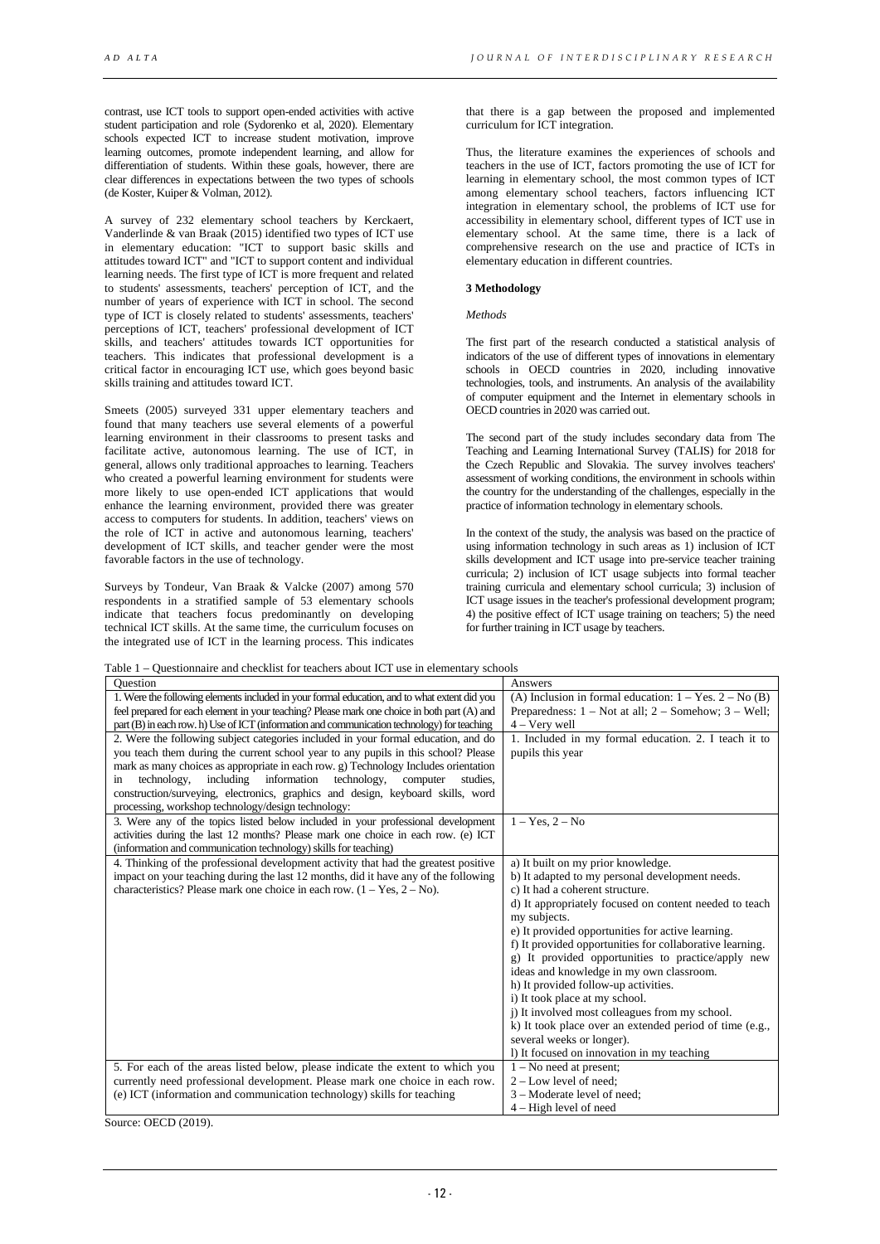contrast, use ICT tools to support open-ended activities with active student participation and role (Sydorenko et al, 2020). Elementary schools expected ICT to increase student motivation, improve learning outcomes, promote independent learning, and allow for differentiation of students. Within these goals, however, there are clear differences in expectations between the two types of schools (de Koster, Kuiper & Volman, 2012).

A survey of 232 elementary school teachers by Kerckaert, Vanderlinde & van Braak (2015) identified two types of ICT use in elementary education: "ICT to support basic skills and attitudes toward ICT" and "ICT to support content and individual learning needs. The first type of ICT is more frequent and related to students' assessments, teachers' perception of ICT, and the number of years of experience with ICT in school. The second type of ICT is closely related to students' assessments, teachers' perceptions of ICT, teachers' professional development of ICT skills, and teachers' attitudes towards ICT opportunities for teachers. This indicates that professional development is a critical factor in encouraging ICT use, which goes beyond basic skills training and attitudes toward ICT.

Smeets (2005) surveyed 331 upper elementary teachers and found that many teachers use several elements of a powerful learning environment in their classrooms to present tasks and facilitate active, autonomous learning. The use of ICT, in general, allows only traditional approaches to learning. Teachers who created a powerful learning environment for students were more likely to use open-ended ICT applications that would enhance the learning environment, provided there was greater access to computers for students. In addition, teachers' views on the role of ICT in active and autonomous learning, teachers' development of ICT skills, and teacher gender were the most favorable factors in the use of technology.

Surveys by Tondeur, Van Braak & Valcke (2007) among 570 respondents in a stratified sample of 53 elementary schools indicate that teachers focus predominantly on developing technical ICT skills. At the same time, the curriculum focuses on the integrated use of ICT in the learning process. This indicates

that there is a gap between the proposed and implemented curriculum for ICT integration.

Thus, the literature examines the experiences of schools and teachers in the use of ICT, factors promoting the use of ICT for learning in elementary school, the most common types of ICT among elementary school teachers, factors influencing ICT integration in elementary school, the problems of ICT use for accessibility in elementary school, different types of ICT use in elementary school. At the same time, there is a lack of comprehensive research on the use and practice of ICTs in elementary education in different countries.

## **3 Methodology**

## *Methods*

The first part of the research conducted a statistical analysis of indicators of the use of different types of innovations in elementary schools in OECD countries in 2020, including innovative technologies, tools, and instruments. An analysis of the availability of computer equipment and the Internet in elementary schools in OECD countries in 2020 was carried out.

The second part of the study includes secondary data from The Teaching and Learning International Survey (TALIS) for 2018 for the Czech Republic and Slovakia. The survey involves teachers' assessment of working conditions, the environment in schools within the country for the understanding of the challenges, especially in the practice of information technology in elementary schools.

In the context of the study, the analysis was based on the practice of using information technology in such areas as 1) inclusion of ICT skills development and ICT usage into pre-service teacher training curricula; 2) inclusion of ICT usage subjects into formal teacher training curricula and elementary school curricula; 3) inclusion of ICT usage issues in the teacher's professional development program; 4) the positive effect of ICT usage training on teachers; 5) the need for further training in ICT usage by teachers.

Table 1 – Questionnaire and checklist for teachers about ICT use in elementary schools

| able 1 – Questionnante and cheekinst for teachers about fe't use in cicincinary schools      |                                                              |
|----------------------------------------------------------------------------------------------|--------------------------------------------------------------|
| Ouestion                                                                                     | Answers                                                      |
| 1. Were the following elements included in your formal education, and to what extent did you | (A) Inclusion in formal education: $1 - Yes$ . $2 - No$ (B)  |
| feel prepared for each element in your teaching? Please mark one choice in both part (A) and | Preparedness: $1 - Not$ at all; $2 - Somchow$ ; $3 - Well$ ; |
| part (B) in each row. h) Use of ICT (information and communication technology) for teaching  | $4 -$ Very well                                              |
| 2. Were the following subject categories included in your formal education, and do           | 1. Included in my formal education. 2. I teach it to         |
| you teach them during the current school year to any pupils in this school? Please           | pupils this year                                             |
| mark as many choices as appropriate in each row. g) Technology Includes orientation          |                                                              |
| including<br>information<br>technology,<br>technology,<br>computer<br>studies.<br>in         |                                                              |
| construction/surveying, electronics, graphics and design, keyboard skills, word              |                                                              |
| processing, workshop technology/design technology:                                           |                                                              |
| 3. Were any of the topics listed below included in your professional development             | $1 - Yes, 2 - No$                                            |
| activities during the last 12 months? Please mark one choice in each row. (e) ICT            |                                                              |
| (information and communication technology) skills for teaching)                              |                                                              |
| 4. Thinking of the professional development activity that had the greatest positive          | a) It built on my prior knowledge.                           |
| impact on your teaching during the last 12 months, did it have any of the following          | b) It adapted to my personal development needs.              |
| characteristics? Please mark one choice in each row. $(1 - Yes, 2 - No)$ .                   | c) It had a coherent structure.                              |
|                                                                                              | d) It appropriately focused on content needed to teach       |
|                                                                                              | my subjects.                                                 |
|                                                                                              | e) It provided opportunities for active learning.            |
|                                                                                              | f) It provided opportunities for collaborative learning.     |
|                                                                                              | g) It provided opportunities to practice/apply new           |
|                                                                                              | ideas and knowledge in my own classroom.                     |
|                                                                                              | h) It provided follow-up activities.                         |
|                                                                                              | i) It took place at my school.                               |
|                                                                                              | i) It involved most colleagues from my school.               |
|                                                                                              | k) It took place over an extended period of time (e.g.,      |
|                                                                                              | several weeks or longer).                                    |
|                                                                                              | 1) It focused on innovation in my teaching                   |
| 5. For each of the areas listed below, please indicate the extent to which you               | $1 - No$ need at present;                                    |
| currently need professional development. Please mark one choice in each row.                 | $2 - Low$ level of need:                                     |
| (e) ICT (information and communication technology) skills for teaching                       | 3 – Moderate level of need;                                  |
|                                                                                              | 4 – High level of need                                       |

Source: OECD (2019).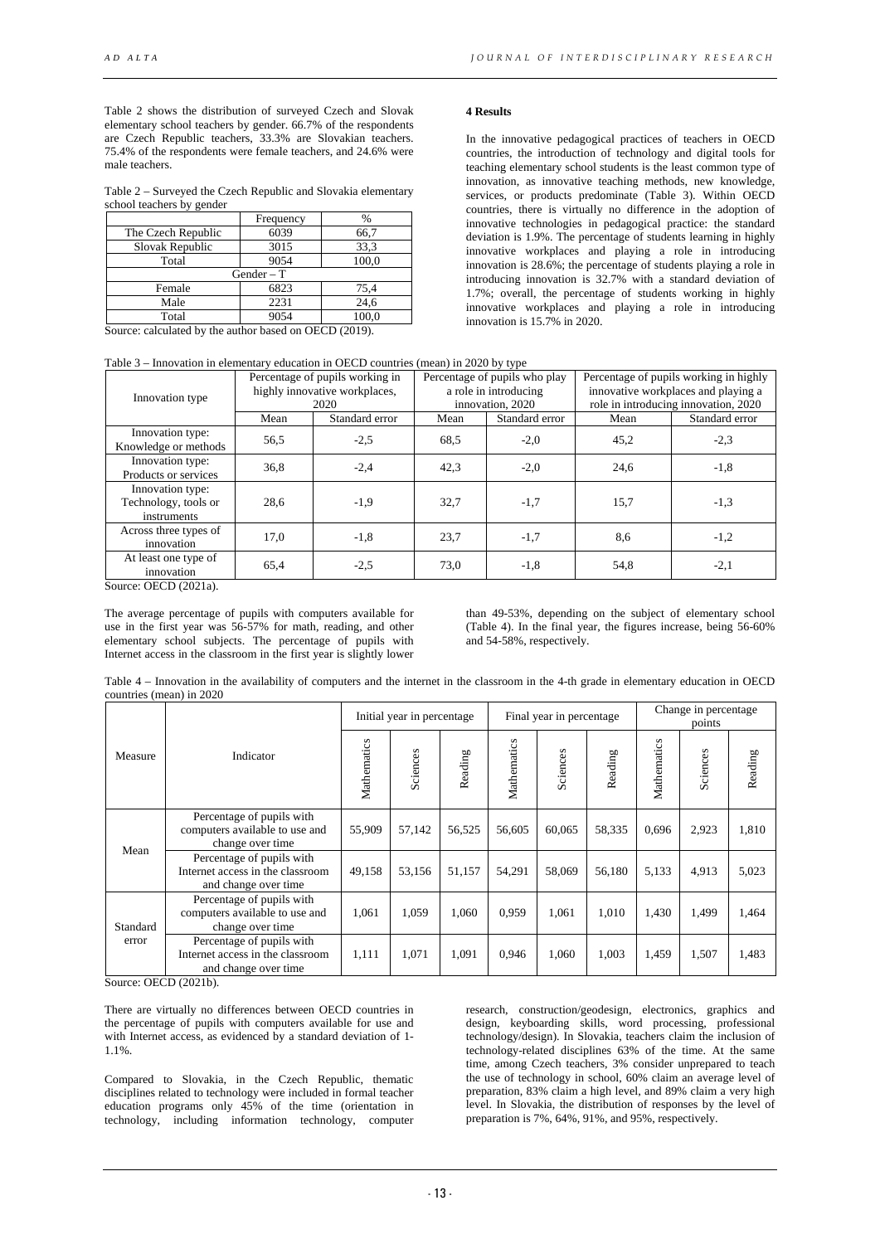Table 2 shows the distribution of surveyed Czech and Slovak elementary school teachers by gender. 66.7% of the respondents are Czech Republic teachers, 33.3% are Slovakian teachers. 75.4% of the respondents were female teachers, and 24.6% were male teachers.

Table 2 – Surveyed the Czech Republic and Slovakia elementary school teachers by gender

|                    | Frequency    | $\frac{0}{0}$ |
|--------------------|--------------|---------------|
| The Czech Republic | 6039         | 66,7          |
| Slovak Republic    | 3015         | 33.3          |
| Total              | 9054         | 100,0         |
|                    | $Gender - T$ |               |
| Female             | 6823         | 75,4          |
| Male               | 2231         | 24,6          |
| Total              | 9054         | 100.0         |

Source: calculated by the author based on OECD (2019).

## **4 Results**

In the innovative pedagogical practices of teachers in OECD countries, the introduction of technology and digital tools for teaching elementary school students is the least common type of innovation, as innovative teaching methods, new knowledge, services, or products predominate (Table 3). Within OECD countries, there is virtually no difference in the adoption of innovative technologies in pedagogical practice: the standard deviation is 1.9%. The percentage of students learning in highly innovative workplaces and playing a role in introducing innovation is 28.6%; the percentage of students playing a role in introducing innovation is 32.7% with a standard deviation of 1.7%; overall, the percentage of students working in highly innovative workplaces and playing a role in introducing innovation is 15.7% in 2020.

|  |  | Table 3 - Innovation in elementary education in OECD countries (mean) in 2020 by type |  |
|--|--|---------------------------------------------------------------------------------------|--|
|--|--|---------------------------------------------------------------------------------------|--|

| Fabic $\beta$ – Hillovation in ciclicitually culcation in OECD countries (fileall) in 2020 by type |      |                                                                          |      |                                                                            |                                                                                                                       |                |  |  |  |
|----------------------------------------------------------------------------------------------------|------|--------------------------------------------------------------------------|------|----------------------------------------------------------------------------|-----------------------------------------------------------------------------------------------------------------------|----------------|--|--|--|
| Innovation type                                                                                    |      | Percentage of pupils working in<br>highly innovative workplaces,<br>2020 |      | Percentage of pupils who play<br>a role in introducing<br>innovation, 2020 | Percentage of pupils working in highly<br>innovative workplaces and playing a<br>role in introducing innovation, 2020 |                |  |  |  |
|                                                                                                    | Mean | Standard error                                                           | Mean | Standard error                                                             | Mean                                                                                                                  | Standard error |  |  |  |
| Innovation type:<br>Knowledge or methods                                                           | 56,5 | $-2,5$                                                                   | 68.5 | $-2,0$                                                                     | 45,2                                                                                                                  | $-2,3$         |  |  |  |
| Innovation type:<br>Products or services                                                           | 36,8 | $-2,4$                                                                   | 42,3 | $-2,0$                                                                     | 24,6                                                                                                                  | $-1,8$         |  |  |  |
| Innovation type:<br>Technology, tools or<br>instruments                                            | 28.6 | $-1,9$                                                                   | 32,7 | $-1,7$                                                                     | 15,7                                                                                                                  | $-1,3$         |  |  |  |
| Across three types of<br>innovation                                                                | 17,0 | $-1,8$                                                                   | 23,7 | $-1,7$                                                                     | 8,6                                                                                                                   | $-1,2$         |  |  |  |
| At least one type of<br>innovation                                                                 | 65.4 | $-2,5$                                                                   | 73,0 | $-1,8$                                                                     | 54,8                                                                                                                  | $-2,1$         |  |  |  |

Source: OECD (2021a).

The average percentage of pupils with computers available for use in the first year was 56-57% for math, reading, and other elementary school subjects. The percentage of pupils with Internet access in the classroom in the first year is slightly lower

than 49-53%, depending on the subject of elementary school (Table 4). In the final year, the figures increase, being 56-60% and 54-58%, respectively.

Table 4 – Innovation in the availability of computers and the internet in the classroom in the 4-th grade in elementary education in OECD countries (mean) in 2020

|          |                                                                                        | Initial year in percentage |          |         | Final year in percentage |          |         | Change in percentage<br>points |          |         |
|----------|----------------------------------------------------------------------------------------|----------------------------|----------|---------|--------------------------|----------|---------|--------------------------------|----------|---------|
| Measure  | Indicator                                                                              | Mathematics                | Sciences | Reading | Mathematics              | Sciences | Reading | Mathematics                    | Sciences | Reading |
| Mean     | Percentage of pupils with<br>computers available to use and<br>change over time        | 55,909                     | 57,142   | 56,525  | 56,605                   | 60,065   | 58,335  | 0,696                          | 2,923    | 1,810   |
|          | Percentage of pupils with<br>Internet access in the classroom<br>and change over time. | 49,158                     | 53,156   | 51,157  | 54,291                   | 58,069   | 56,180  | 5,133                          | 4,913    | 5,023   |
| Standard | Percentage of pupils with<br>computers available to use and<br>change over time        | 1,061                      | 1,059    | 1,060   | 0,959                    | 1,061    | 1,010   | 1,430                          | 1,499    | 1,464   |
| error    | Percentage of pupils with<br>Internet access in the classroom<br>and change over time. | 1,111                      | 1,071    | 1,091   | 0,946                    | 1,060    | 1,003   | 1,459                          | 1,507    | 1,483   |

Source: OECD (2021b).

There are virtually no differences between OECD countries in the percentage of pupils with computers available for use and with Internet access, as evidenced by a standard deviation of 1- 1.1%.

Compared to Slovakia, in the Czech Republic, thematic disciplines related to technology were included in formal teacher education programs only 45% of the time (orientation in technology, including information technology, computer

research, construction/geodesign, electronics, graphics and design, keyboarding skills, word processing, professional technology/design). In Slovakia, teachers claim the inclusion of technology-related disciplines 63% of the time. At the same time, among Czech teachers, 3% consider unprepared to teach the use of technology in school, 60% claim an average level of preparation, 83% claim a high level, and 89% claim a very high level. In Slovakia, the distribution of responses by the level of preparation is 7%, 64%, 91%, and 95%, respectively.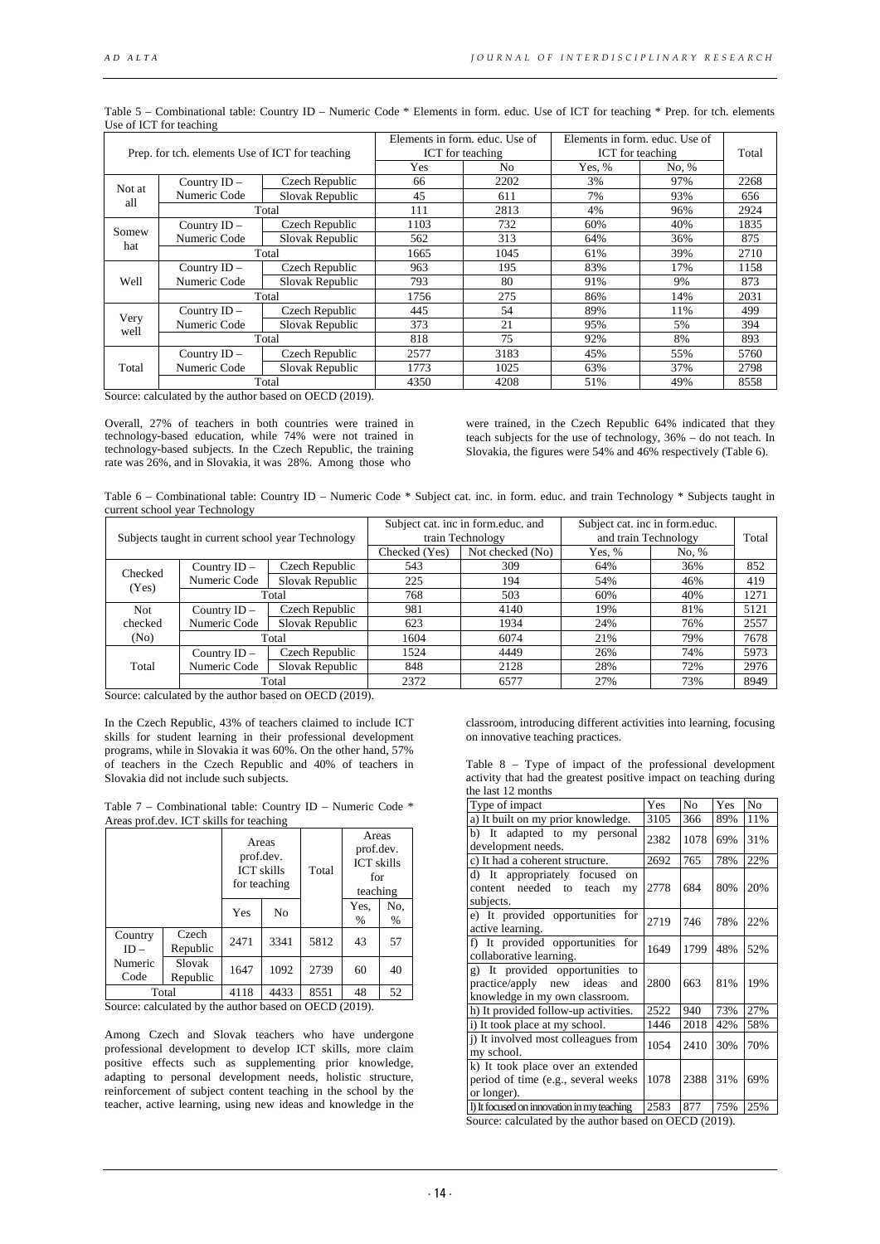| Prep. for tch. elements Use of ICT for teaching |                |                 | Elements in form. educ. Use of<br>ICT for teaching | Elements in form, educ. Use of<br>ICT for teaching |        | Total |      |
|-------------------------------------------------|----------------|-----------------|----------------------------------------------------|----------------------------------------------------|--------|-------|------|
|                                                 |                |                 | Yes                                                | N <sub>0</sub>                                     | Yes, % | No. % |      |
| Not at                                          | Country ID -   | Czech Republic  | 66                                                 | 2202                                               | 3%     | 97%   | 2268 |
| all                                             | Numeric Code   | Slovak Republic | 45                                                 | 611                                                | 7%     | 93%   | 656  |
|                                                 |                | Total           | 111                                                | 2813                                               | 4%     | 96%   | 2924 |
| Somew                                           | Country ID -   | Czech Republic  | 1103                                               | 732                                                | 60%    | 40%   | 1835 |
| hat                                             | Numeric Code   | Slovak Republic | 562                                                | 313                                                | 64%    | 36%   | 875  |
|                                                 |                | Total           | 1665                                               | 1045                                               | 61%    | 39%   | 2710 |
|                                                 | Country ID -   | Czech Republic  | 963                                                | 195                                                | 83%    | 17%   | 1158 |
| Well                                            | Numeric Code   | Slovak Republic | 793                                                | 80                                                 | 91%    | 9%    | 873  |
|                                                 |                | Total           |                                                    | 275                                                | 86%    | 14%   | 2031 |
|                                                 | Country ID -   | Czech Republic  | 445                                                | 54                                                 | 89%    | 11%   | 499  |
| Very                                            | Numeric Code   | Slovak Republic | 373                                                | 21                                                 | 95%    | 5%    | 394  |
| well                                            |                | Total           | 818                                                | 75                                                 | 92%    | 8%    | 893  |
|                                                 | Country $ID -$ | Czech Republic  | 2577                                               | 3183                                               | 45%    | 55%   | 5760 |
| Total                                           | Numeric Code   | Slovak Republic | 1773                                               | 1025                                               | 63%    | 37%   | 2798 |
|                                                 |                | Total           | 4350                                               | 4208                                               | 51%    | 49%   | 8558 |

Table 5 – Combinational table: Country ID – Numeric Code \* Elements in form. educ. Use of ICT for teaching \* Prep. for tch. elements Use of ICT for teaching

Source: calculated by the author based on OECD (2019).

Overall, 27% of teachers in both countries were trained in technology-based education, while 74% were not trained in technology-based subjects. In the Czech Republic, the training rate was 26%, and in Slovakia, it was 28%. Among those who

were trained, in the Czech Republic 64% indicated that they teach subjects for the use of technology, 36% – do not teach. In Slovakia, the figures were 54% and 46% respectively (Table 6).

Table 6 – Combinational table: Country ID – Numeric Code \* Subject cat. inc. in form. educ. and train Technology \* Subjects taught in current school year Technology

| Subjects taught in current school year Technology |                |                 |               | Subject cat. inc in form.educ. and<br>train Technology | Subject cat. inc in form.educ.<br>and train Technology | Total   |      |
|---------------------------------------------------|----------------|-----------------|---------------|--------------------------------------------------------|--------------------------------------------------------|---------|------|
|                                                   |                |                 | Checked (Yes) | Not checked (No)                                       | Yes, %                                                 | No. $%$ |      |
|                                                   | Country $ID -$ | Czech Republic  | 543           | 309                                                    | 64%                                                    | 36%     | 852  |
| Checked<br>(Yes)                                  | Numeric Code   | Slovak Republic | 225           | 194                                                    | 54%                                                    | 46%     | 419  |
|                                                   |                | Total           | 768           | 503                                                    | 60%                                                    | 40%     | 1271 |
| <b>Not</b>                                        | Country $ID -$ | Czech Republic  | 981           | 4140                                                   | 19%                                                    | 81%     | 5121 |
| checked                                           | Numeric Code   | Slovak Republic | 623           | 1934                                                   | 24%                                                    | 76%     | 2557 |
| (N <sub>0</sub> )                                 |                | Total           | 1604          | 6074                                                   | 21%                                                    | 79%     | 7678 |
|                                                   | Country $ID -$ | Czech Republic  | 1524          | 4449                                                   | 26%                                                    | 74%     | 5973 |
| Total                                             | Numeric Code   | Slovak Republic | 848           | 2128                                                   | 28%                                                    | 72%     | 2976 |
|                                                   |                | Total           | 2372          | 6577                                                   | 27%                                                    | 73%     | 8949 |

Source: calculated by the author based on OECD (2019).

In the Czech Republic, 43% of teachers claimed to include ICT skills for student learning in their professional development programs, while in Slovakia it was 60%. On the other hand, 57% of teachers in the Czech Republic and 40% of teachers in Slovakia did not include such subjects.

Table 7 – Combinational table: Country ID – Numeric Code \* Areas prof.dev. ICT skills for teaching

|                      |                    |                                     | Areas<br>prof.dev.<br><b>ICT</b> skills<br>for teaching | Total                                                                    | Areas<br>prof.dev.<br><b>ICT</b> skills<br>for<br>teaching |          |
|----------------------|--------------------|-------------------------------------|---------------------------------------------------------|--------------------------------------------------------------------------|------------------------------------------------------------|----------|
|                      |                    | Yes                                 | No                                                      |                                                                          | Yes,<br>$\%$                                               | No,<br>% |
| Country<br>$ID -$    | Czech<br>Republic  | 2471                                | 3341                                                    | 5812                                                                     | 43                                                         | 57       |
| Numeric<br>Code      | Slovak<br>Republic | 1647                                | 1092                                                    | 2739                                                                     | 60                                                         | 40       |
| Total<br>$\sim$<br>. |                    | 4118<br>$\sim$<br>$\sim$ 100 $\sim$ | 4433<br>. .                                             | 8551<br>$\alpha$ m $\alpha$ $\alpha$ $\alpha$ $\alpha$ $\alpha$ $\alpha$ | 48                                                         | 52       |

Source: calculated by the author based on OECD (2019).

Among Czech and Slovak teachers who have undergone professional development to develop ICT skills, more claim positive effects such as supplementing prior knowledge, adapting to personal development needs, holistic structure, reinforcement of subject content teaching in the school by the teacher, active learning, using new ideas and knowledge in the classroom, introducing different activities into learning, focusing on innovative teaching practices.

|                    |  | Table $8$ – Type of impact of the professional development        |  |  |  |
|--------------------|--|-------------------------------------------------------------------|--|--|--|
|                    |  | activity that had the greatest positive impact on teaching during |  |  |  |
| the last 12 months |  |                                                                   |  |  |  |

| ше там. т. япониту                                                                                   |      |      |     |     |
|------------------------------------------------------------------------------------------------------|------|------|-----|-----|
| Type of impact                                                                                       | Yes  | No   | Yes | No  |
| a) It built on my prior knowledge.                                                                   | 3105 | 366  | 89% | 11% |
| b) It adapted to my personal<br>development needs.                                                   | 2382 | 1078 | 69% | 31% |
| c) It had a coherent structure.                                                                      | 2692 | 765  | 78% | 22% |
| d) It appropriately focused<br>$_{\rm on}$<br>content needed to<br>teach<br>my<br>subjects.          | 2778 | 684  | 80% | 20% |
| e) It provided opportunities for<br>active learning.                                                 | 2719 | 746  | 78% | 22% |
| f) It provided opportunities for<br>collaborative learning.                                          | 1649 | 1799 | 48% | 52% |
| g) It provided opportunities to<br>practice/apply new ideas<br>and<br>knowledge in my own classroom. | 2800 | 663  | 81% | 19% |
| h) It provided follow-up activities.                                                                 | 2522 | 940  | 73% | 27% |
| i) It took place at my school.                                                                       | 1446 | 2018 | 42% | 58% |
| i) It involved most colleagues from<br>my school.                                                    | 1054 | 2410 | 30% | 70% |
| k) It took place over an extended<br>period of time (e.g., several weeks<br>or longer).              | 1078 | 2388 | 31% | 69% |
| I) It focused on innovation in my teaching                                                           | 2583 | 877  | 75% | 25% |
| $0 \t 1 \t 1 \t 11 \t 1 \t 1 \t 1 \t 1 \t 0 \t 0 \t 0 \t 0 \t 0$                                     |      |      |     |     |

Source: calculated by the author based on OECD (2019).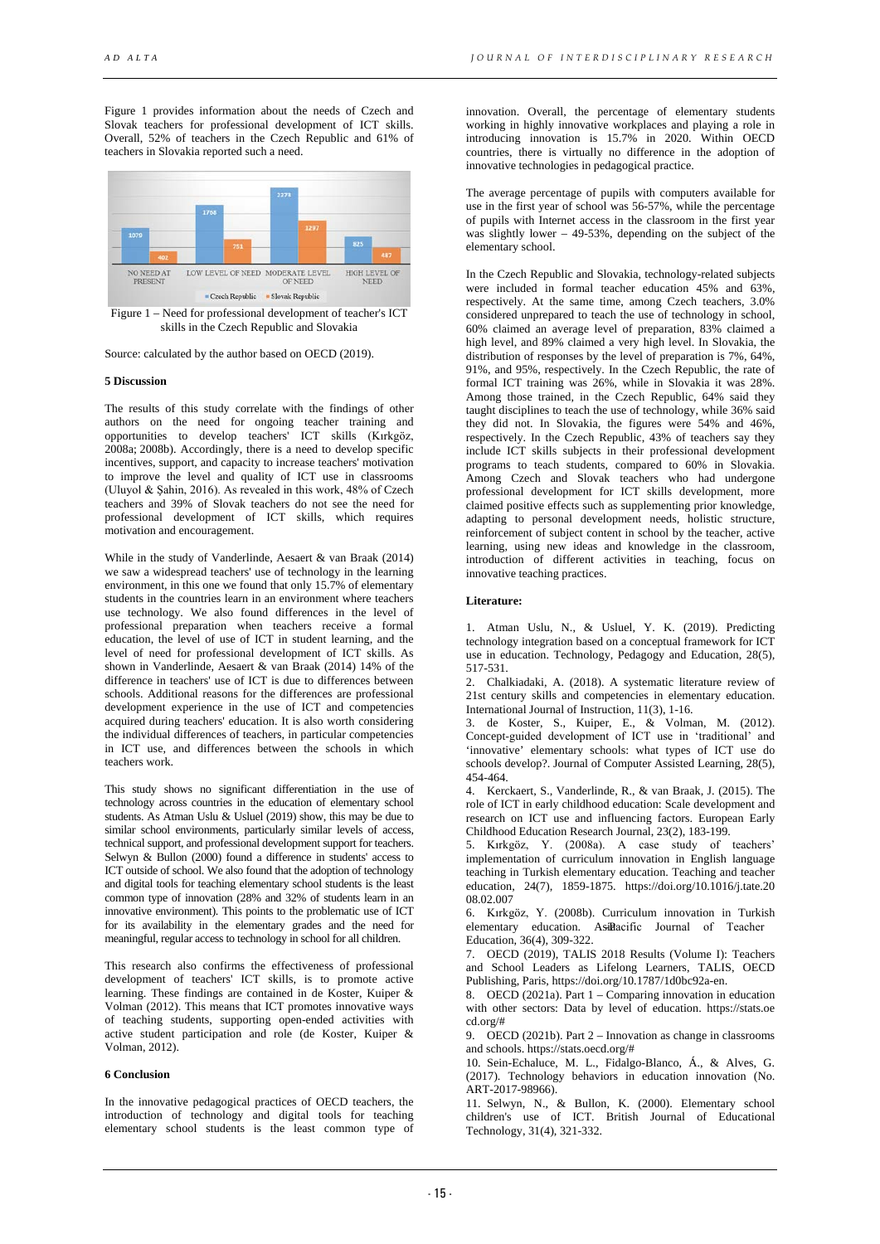Figure 1 provides information about the needs of Czech and Slovak teachers for professional development of ICT skills. Overall, 52% of teachers in the Czech Republic and 61% of teachers in Slovakia reported such a need.



Figure 1 – Need for professional development of teacher's ICT skills in the Czech Republic and Slovakia

Source: calculated by the author based on OECD (2019).

#### **5 Discussion**

The results of this study correlate with the findings of other authors on the need for ongoing teacher training and opportunities to develop teachers' ICT skills (Kırkgöz, 2008a; 2008b). Accordingly, there is a need to develop specific incentives, support, and capacity to increase teachers' motivation to improve the level and quality of ICT use in classrooms (Uluyol & Şahin, 2016). As revealed in this work, 48% of Czech teachers and 39% of Slovak teachers do not see the need for professional development of ICT skills, which requires motivation and encouragement.

While in the study of Vanderlinde, Aesaert & van Braak (2014) we saw a widespread teachers' use of technology in the learning environment, in this one we found that only 15.7% of elementary students in the countries learn in an environment where teachers use technology. We also found differences in the level of professional preparation when teachers receive a formal education, the level of use of ICT in student learning, and the level of need for professional development of ICT skills. As shown in Vanderlinde, Aesaert & van Braak (2014) 14% of the difference in teachers' use of ICT is due to differences between schools. Additional reasons for the differences are professional development experience in the use of ICT and competencies acquired during teachers' education. It is also worth considering the individual differences of teachers, in particular competencies in ICT use, and differences between the schools in which teachers work.

This study shows no significant differentiation in the use of technology across countries in the education of elementary school students. As Atman Uslu & Usluel (2019) show, this may be due to similar school environments, particularly similar levels of access, technical support, and professional development support for teachers. Selwyn & Bullon (2000) found a difference in students' access to ICT outside of school. We also found that the adoption of technology and digital tools for teaching elementary school students is the least common type of innovation (28% and 32% of students learn in an innovative environment). This points to the problematic use of ICT for its availability in the elementary grades and the need for meaningful, regular access to technology in school for all children.

This research also confirms the effectiveness of professional development of teachers' ICT skills, is to promote active learning. These findings are contained in de Koster, Kuiper & Volman (2012). This means that ICT promotes innovative ways of teaching students, supporting open-ended activities with active student participation and role (de Koster, Kuiper & Volman, 2012).

## **6 Conclusion**

In the innovative pedagogical practices of OECD teachers, the introduction of technology and digital tools for teaching elementary school students is the least common type of

innovation. Overall, the percentage of elementary students working in highly innovative workplaces and playing a role in introducing innovation is 15.7% in 2020. Within OECD countries, there is virtually no difference in the adoption of innovative technologies in pedagogical practice.

The average percentage of pupils with computers available for use in the first year of school was 56-57%, while the percentage of pupils with Internet access in the classroom in the first year was slightly lower – 49-53%, depending on the subject of the elementary school.

In the Czech Republic and Slovakia, technology-related subjects were included in formal teacher education 45% and 63%, respectively. At the same time, among Czech teachers, 3.0% considered unprepared to teach the use of technology in school, 60% claimed an average level of preparation, 83% claimed a high level, and 89% claimed a very high level. In Slovakia, the distribution of responses by the level of preparation is 7%, 64%, 91%, and 95%, respectively. In the Czech Republic, the rate of formal ICT training was 26%, while in Slovakia it was 28%. Among those trained, in the Czech Republic, 64% said they taught disciplines to teach the use of technology, while 36% said they did not. In Slovakia, the figures were 54% and 46%, respectively. In the Czech Republic, 43% of teachers say they include ICT skills subjects in their professional development programs to teach students, compared to 60% in Slovakia. Among Czech and Slovak teachers who had undergone professional development for ICT skills development, more claimed positive effects such as supplementing prior knowledge, adapting to personal development needs, holistic structure, reinforcement of subject content in school by the teacher, active learning, using new ideas and knowledge in the classroom, introduction of different activities in teaching, focus on innovative teaching practices.

#### **Literature:**

1. Atman Uslu, N., & Usluel, Y. K. (2019). Predicting technology integration based on a conceptual framework for ICT use in education. Technology, Pedagogy and Education, 28(5), 517-531.

2. Chalkiadaki, A. (2018). A systematic literature review of 21st century skills and competencies in elementary education. International Journal of Instruction, 11(3), 1-16.

3. de Koster, S., Kuiper, E., & Volman, M. (2012). Concept‐guided development of ICT use in 'traditional' and 'innovative' elementary schools: what types of ICT use do schools develop?. Journal of Computer Assisted Learning, 28(5), 454-464.

4. Kerckaert, S., Vanderlinde, R., & van Braak, J. (2015). The role of ICT in early childhood education: Scale development and research on ICT use and influencing factors. European Early Childhood Education Research Journal, 23(2), 183-199.

5. Kırkgöz, Y. (2008a). A case study of teachers' implementation of curriculum innovation in English language teaching in Turkish elementary education. Teaching and teacher education, 24(7), 1859-1875. https://doi.org/10.1016/j.tate.20 08.02.007

6. Kırkgöz, Y. (2008b). Curriculum innovation in Turkish elementary education. Asilacific Journal of Teacher Education, 36(4), 309-322.

7. OECD (2019), TALIS 2018 Results (Volume I): Teachers and School Leaders as Lifelong Learners, TALIS, OECD Publishing, Paris, https://doi.org/10.1787/1d0bc92a-en.

8. OECD (2021a). Part 1 – Comparing innovation in education with other sectors: Data by level of education. https://stats.oe cd.org/#

9. OECD (2021b). Part 2 – Innovation as change in classrooms and schools. https://stats.oecd.org/#

10. Sein-Echaluce, M. L., Fidalgo-Blanco, Á., & Alves, G. (2017). Technology behaviors in education innovation (No. ART-2017-98966).

11. Selwyn, N., & Bullon, K. (2000). Elementary school children's use of ICT. British Journal of Educational Technology, 31(4), 321-332.